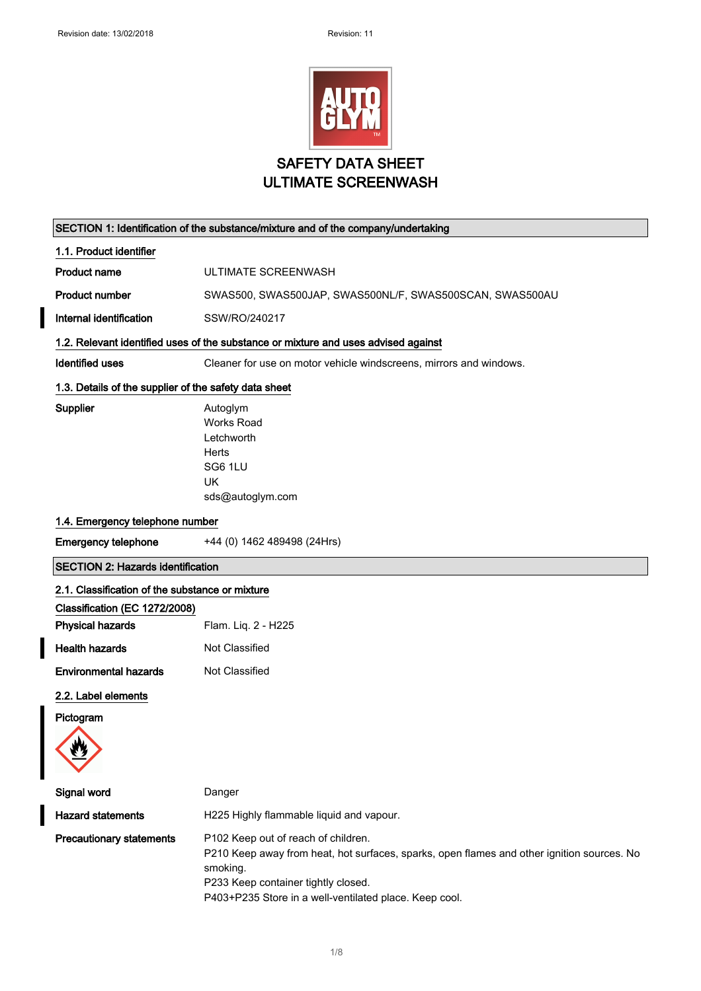

ULTIMATE SCREENWASH

|                                                       | SECTION 1: Identification of the substance/mixture and of the company/undertaking                                                                                                                                                              |  |  |  |  |
|-------------------------------------------------------|------------------------------------------------------------------------------------------------------------------------------------------------------------------------------------------------------------------------------------------------|--|--|--|--|
| 1.1. Product identifier                               |                                                                                                                                                                                                                                                |  |  |  |  |
| <b>Product name</b>                                   | ULTIMATE SCREENWASH                                                                                                                                                                                                                            |  |  |  |  |
| <b>Product number</b>                                 | SWAS500, SWAS500JAP, SWAS500NL/F, SWAS500SCAN, SWAS500AU                                                                                                                                                                                       |  |  |  |  |
| Internal identification                               | SSW/RO/240217                                                                                                                                                                                                                                  |  |  |  |  |
|                                                       | 1.2. Relevant identified uses of the substance or mixture and uses advised against                                                                                                                                                             |  |  |  |  |
| <b>Identified uses</b>                                | Cleaner for use on motor vehicle windscreens, mirrors and windows.                                                                                                                                                                             |  |  |  |  |
| 1.3. Details of the supplier of the safety data sheet |                                                                                                                                                                                                                                                |  |  |  |  |
| <b>Supplier</b>                                       | Autoglym<br><b>Works Road</b><br>Letchworth<br>Herts<br>SG6 1LU<br><b>UK</b><br>sds@autoglym.com                                                                                                                                               |  |  |  |  |
| 1.4. Emergency telephone number                       |                                                                                                                                                                                                                                                |  |  |  |  |
| <b>Emergency telephone</b>                            | +44 (0) 1462 489498 (24Hrs)                                                                                                                                                                                                                    |  |  |  |  |
| <b>SECTION 2: Hazards identification</b>              |                                                                                                                                                                                                                                                |  |  |  |  |
| 2.1. Classification of the substance or mixture       |                                                                                                                                                                                                                                                |  |  |  |  |
| Classification (EC 1272/2008)                         |                                                                                                                                                                                                                                                |  |  |  |  |
| <b>Physical hazards</b>                               | Flam. Liq. 2 - H225                                                                                                                                                                                                                            |  |  |  |  |
| <b>Health hazards</b>                                 | Not Classified                                                                                                                                                                                                                                 |  |  |  |  |
| <b>Environmental hazards</b>                          | Not Classified                                                                                                                                                                                                                                 |  |  |  |  |
| 2.2. Label elements                                   |                                                                                                                                                                                                                                                |  |  |  |  |
| Pictogram                                             |                                                                                                                                                                                                                                                |  |  |  |  |
| W<br>▼                                                |                                                                                                                                                                                                                                                |  |  |  |  |
| Signal word                                           | Danger                                                                                                                                                                                                                                         |  |  |  |  |
| <b>Hazard statements</b>                              | H225 Highly flammable liquid and vapour.                                                                                                                                                                                                       |  |  |  |  |
| <b>Precautionary statements</b>                       | P102 Keep out of reach of children.<br>P210 Keep away from heat, hot surfaces, sparks, open flames and other ignition sources. No<br>smoking.<br>P233 Keep container tightly closed.<br>P403+P235 Store in a well-ventilated place. Keep cool. |  |  |  |  |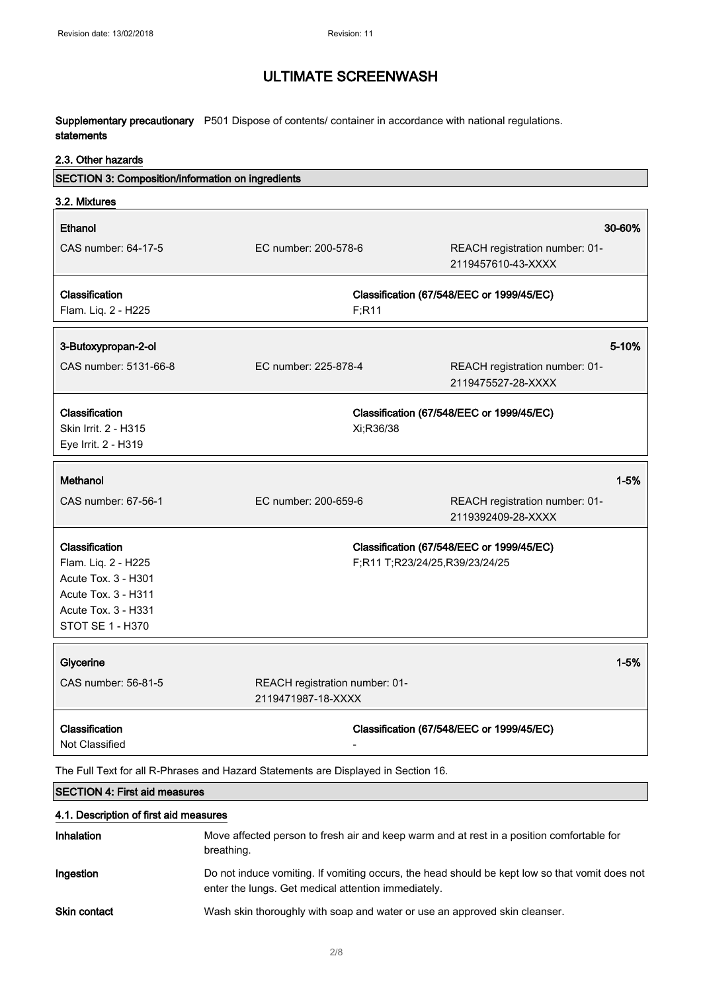Supplementary precautionary P501 Dispose of contents/ container in accordance with national regulations. statements

#### 2.3. Other hazards

| SECTION 3: Composition/information on ingredients                                                                              |                                                      |                                                                             |
|--------------------------------------------------------------------------------------------------------------------------------|------------------------------------------------------|-----------------------------------------------------------------------------|
| 3.2. Mixtures                                                                                                                  |                                                      |                                                                             |
| Ethanol                                                                                                                        |                                                      | 30-60%                                                                      |
| CAS number: 64-17-5                                                                                                            | EC number: 200-578-6                                 | REACH registration number: 01-<br>2119457610-43-XXXX                        |
| <b>Classification</b>                                                                                                          |                                                      | Classification (67/548/EEC or 1999/45/EC)                                   |
| Flam. Liq. 2 - H225                                                                                                            | F; R11                                               |                                                                             |
| 3-Butoxypropan-2-ol                                                                                                            |                                                      | 5-10%                                                                       |
| CAS number: 5131-66-8                                                                                                          | EC number: 225-878-4                                 | REACH registration number: 01-<br>2119475527-28-XXXX                        |
| Classification<br>Skin Irrit. 2 - H315<br>Eye Irrit. 2 - H319                                                                  | Xi;R36/38                                            | Classification (67/548/EEC or 1999/45/EC)                                   |
| Methanol                                                                                                                       |                                                      | $1 - 5%$                                                                    |
| CAS number: 67-56-1                                                                                                            | EC number: 200-659-6                                 | REACH registration number: 01-<br>2119392409-28-XXXX                        |
| Classification<br>Flam. Liq. 2 - H225<br>Acute Tox. 3 - H301<br>Acute Tox. 3 - H311<br>Acute Tox. 3 - H331<br>STOT SE 1 - H370 |                                                      | Classification (67/548/EEC or 1999/45/EC)<br>F;R11 T;R23/24/25,R39/23/24/25 |
| Glycerine                                                                                                                      |                                                      | $1 - 5%$                                                                    |
| CAS number: 56-81-5                                                                                                            | REACH registration number: 01-<br>2119471987-18-XXXX |                                                                             |
| Classification<br>Not Classified                                                                                               |                                                      | Classification (67/548/EEC or 1999/45/EC)                                   |
| The Full Text for all R-Phrases and Hazard Statements are Displayed in Section 16.                                             |                                                      |                                                                             |
| <b>SECTION 4: First aid measures</b>                                                                                           |                                                      |                                                                             |
| 4.1. Description of first aid measures                                                                                         |                                                      |                                                                             |

| <b>Inhalation</b>   | Move affected person to fresh air and keep warm and at rest in a position comfortable for<br>breathing.                                               |
|---------------------|-------------------------------------------------------------------------------------------------------------------------------------------------------|
| Ingestion           | Do not induce vomiting. If vomiting occurs, the head should be kept low so that vomit does not<br>enter the lungs. Get medical attention immediately. |
| <b>Skin contact</b> | Wash skin thoroughly with soap and water or use an approved skin cleanser.                                                                            |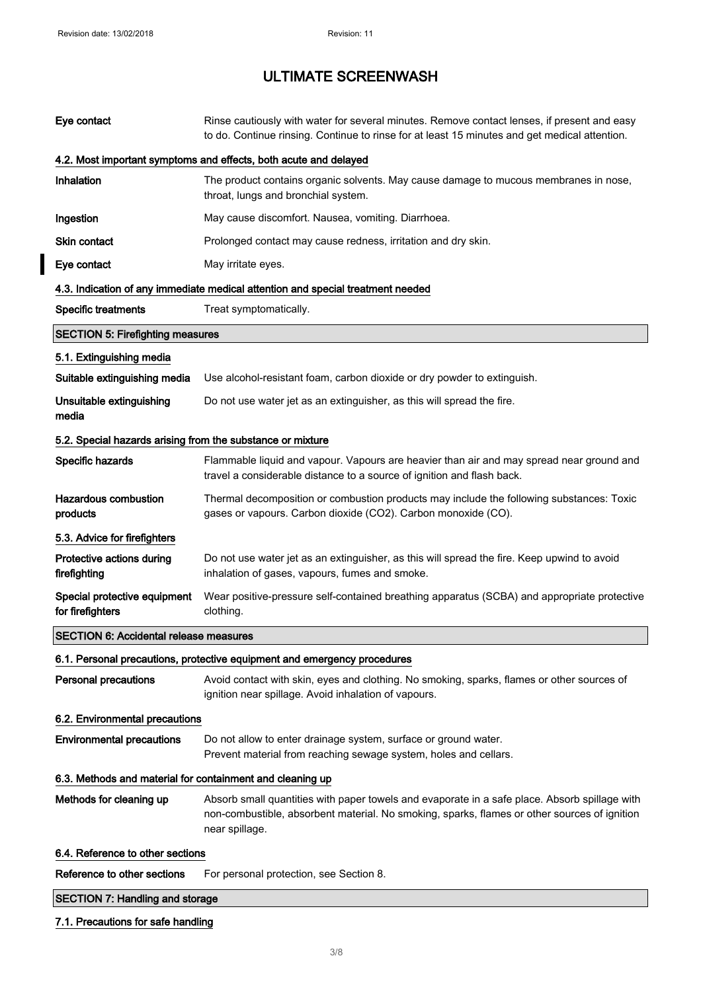$\overline{\mathbf{I}}$ 

# ULTIMATE SCREENWASH

| Eye contact                                                      | Rinse cautiously with water for several minutes. Remove contact lenses, if present and easy<br>to do. Continue rinsing. Continue to rinse for at least 15 minutes and get medical attention. |  |  |  |
|------------------------------------------------------------------|----------------------------------------------------------------------------------------------------------------------------------------------------------------------------------------------|--|--|--|
| 4.2. Most important symptoms and effects, both acute and delayed |                                                                                                                                                                                              |  |  |  |
| Inhalation                                                       | The product contains organic solvents. May cause damage to mucous membranes in nose,<br>throat, lungs and bronchial system.                                                                  |  |  |  |
| Ingestion                                                        | May cause discomfort. Nausea, vomiting. Diarrhoea.                                                                                                                                           |  |  |  |
| <b>Skin contact</b>                                              | Prolonged contact may cause redness, irritation and dry skin.                                                                                                                                |  |  |  |
| Eye contact                                                      | May irritate eyes.                                                                                                                                                                           |  |  |  |
|                                                                  | 4.3. Indication of any immediate medical attention and special treatment needed                                                                                                              |  |  |  |
| <b>Specific treatments</b>                                       | Treat symptomatically.                                                                                                                                                                       |  |  |  |
| <b>SECTION 5: Firefighting measures</b>                          |                                                                                                                                                                                              |  |  |  |
| 5.1. Extinguishing media                                         |                                                                                                                                                                                              |  |  |  |
| Suitable extinguishing media                                     | Use alcohol-resistant foam, carbon dioxide or dry powder to extinguish.                                                                                                                      |  |  |  |
| Unsuitable extinguishing<br>media                                | Do not use water jet as an extinguisher, as this will spread the fire.                                                                                                                       |  |  |  |
| 5.2. Special hazards arising from the substance or mixture       |                                                                                                                                                                                              |  |  |  |
|                                                                  |                                                                                                                                                                                              |  |  |  |
| Specific hazards                                                 | Flammable liquid and vapour. Vapours are heavier than air and may spread near ground and<br>travel a considerable distance to a source of ignition and flash back.                           |  |  |  |
| <b>Hazardous combustion</b><br>products                          | Thermal decomposition or combustion products may include the following substances: Toxic<br>gases or vapours. Carbon dioxide (CO2). Carbon monoxide (CO).                                    |  |  |  |
| 5.3. Advice for firefighters                                     |                                                                                                                                                                                              |  |  |  |
| Protective actions during<br>firefighting                        | Do not use water jet as an extinguisher, as this will spread the fire. Keep upwind to avoid<br>inhalation of gases, vapours, fumes and smoke.                                                |  |  |  |
| Special protective equipment<br>for firefighters                 | Wear positive-pressure self-contained breathing apparatus (SCBA) and appropriate protective<br>clothing.                                                                                     |  |  |  |
| <b>SECTION 6: Accidental release measures</b>                    |                                                                                                                                                                                              |  |  |  |
|                                                                  | 6.1. Personal precautions, protective equipment and emergency procedures                                                                                                                     |  |  |  |
| <b>Personal precautions</b>                                      | Avoid contact with skin, eyes and clothing. No smoking, sparks, flames or other sources of<br>ignition near spillage. Avoid inhalation of vapours.                                           |  |  |  |
| 6.2. Environmental precautions                                   |                                                                                                                                                                                              |  |  |  |
| <b>Environmental precautions</b>                                 | Do not allow to enter drainage system, surface or ground water.<br>Prevent material from reaching sewage system, holes and cellars.                                                          |  |  |  |
| 6.3. Methods and material for containment and cleaning up        |                                                                                                                                                                                              |  |  |  |
| Methods for cleaning up                                          | Absorb small quantities with paper towels and evaporate in a safe place. Absorb spillage with                                                                                                |  |  |  |
|                                                                  | non-combustible, absorbent material. No smoking, sparks, flames or other sources of ignition<br>near spillage.                                                                               |  |  |  |
| 6.4. Reference to other sections                                 |                                                                                                                                                                                              |  |  |  |
| Reference to other sections                                      | For personal protection, see Section 8.                                                                                                                                                      |  |  |  |
| <b>SECTION 7: Handling and storage</b>                           |                                                                                                                                                                                              |  |  |  |
| 7.1. Precautions for safe handling                               |                                                                                                                                                                                              |  |  |  |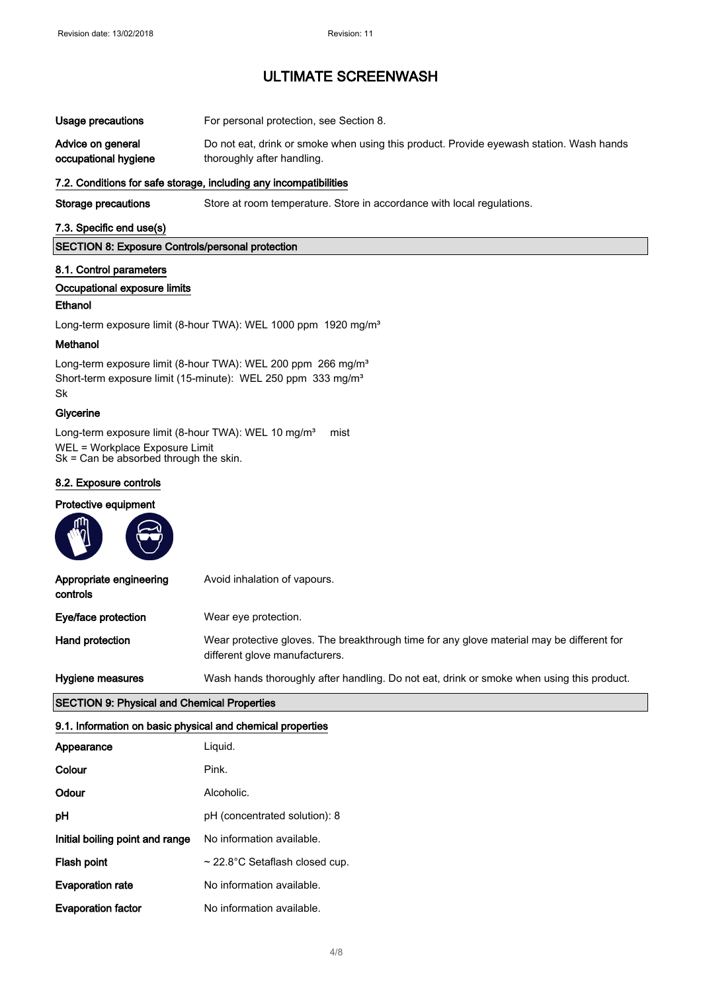| Usage precautions |  | For personal protection, see Section 8. |  |  |
|-------------------|--|-----------------------------------------|--|--|
|                   |  |                                         |  |  |

Advice on general occupational hygiene Do not eat, drink or smoke when using this product. Provide eyewash station. Wash hands thoroughly after handling.

#### 7.2. Conditions for safe storage, including any incompatibilities

Storage precautions Store at room temperature. Store in accordance with local regulations.

#### 7.3. Specific end use(s)

SECTION 8: Exposure Controls/personal protection

#### 8.1. Control parameters

#### Occupational exposure limits

#### Ethanol

Long-term exposure limit (8-hour TWA): WEL 1000 ppm 1920 mg/m<sup>3</sup>

#### Methanol

Long-term exposure limit (8-hour TWA): WEL 200 ppm 266 mg/m<sup>3</sup> Short-term exposure limit (15-minute): WEL 250 ppm 333 mg/m<sup>3</sup> Sk

#### **Glycerine**

Long-term exposure limit (8-hour TWA): WEL 10 mg/m<sup>3</sup> mist WEL = Workplace Exposure Limit Sk = Can be absorbed through the skin.

#### 8.2. Exposure controls

#### Protective equipment

| <b>AND</b>                          |                                                                                                                             |
|-------------------------------------|-----------------------------------------------------------------------------------------------------------------------------|
| Appropriate engineering<br>controls | Avoid inhalation of vapours.                                                                                                |
| Eye/face protection                 | Wear eye protection.                                                                                                        |
| Hand protection                     | Wear protective gloves. The breakthrough time for any glove material may be different for<br>different glove manufacturers. |
| Hygiene measures                    | Wash hands thoroughly after handling. Do not eat, drink or smoke when using this product.                                   |

#### SECTION 9: Physical and Chemical Properties

#### 9.1. Information on basic physical and chemical properties

| Appearance                      | Liquid.                             |
|---------------------------------|-------------------------------------|
| Colour                          | Pink.                               |
| Odour                           | Alcoholic.                          |
| рH                              | pH (concentrated solution): 8       |
| Initial boiling point and range | No information available.           |
| Flash point                     | $\sim$ 22.8°C Setaflash closed cup. |
| <b>Evaporation rate</b>         | No information available.           |
| <b>Evaporation factor</b>       | No information available.           |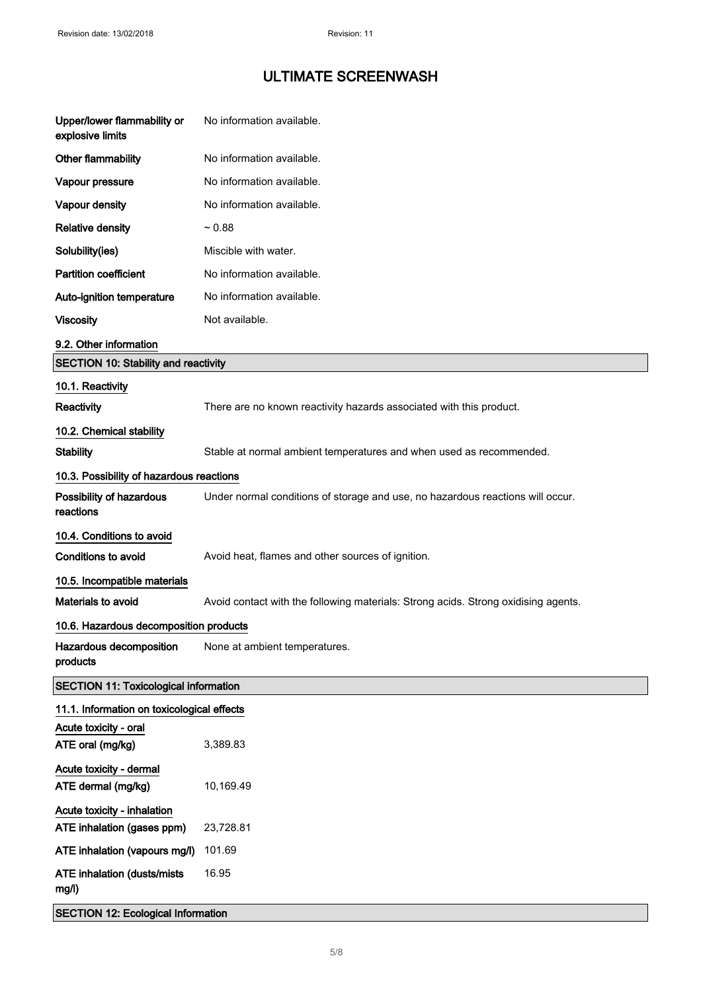| Upper/lower flammability or<br>explosive limits | No information available.                                                          |  |  |  |
|-------------------------------------------------|------------------------------------------------------------------------------------|--|--|--|
| Other flammability                              | No information available.                                                          |  |  |  |
| Vapour pressure                                 | No information available.                                                          |  |  |  |
| Vapour density                                  | No information available.                                                          |  |  |  |
| <b>Relative density</b>                         | ~10.88                                                                             |  |  |  |
| Solubility(ies)                                 | Miscible with water.                                                               |  |  |  |
| <b>Partition coefficient</b>                    | No information available.                                                          |  |  |  |
| Auto-ignition temperature                       | No information available.                                                          |  |  |  |
| <b>Viscosity</b>                                | Not available.                                                                     |  |  |  |
| 9.2. Other information                          |                                                                                    |  |  |  |
| <b>SECTION 10: Stability and reactivity</b>     |                                                                                    |  |  |  |
| 10.1. Reactivity                                |                                                                                    |  |  |  |
| Reactivity                                      | There are no known reactivity hazards associated with this product.                |  |  |  |
| 10.2. Chemical stability                        |                                                                                    |  |  |  |
| <b>Stability</b>                                | Stable at normal ambient temperatures and when used as recommended.                |  |  |  |
| 10.3. Possibility of hazardous reactions        |                                                                                    |  |  |  |
| Possibility of hazardous<br>reactions           | Under normal conditions of storage and use, no hazardous reactions will occur.     |  |  |  |
| 10.4. Conditions to avoid                       |                                                                                    |  |  |  |
| <b>Conditions to avoid</b>                      | Avoid heat, flames and other sources of ignition.                                  |  |  |  |
| 10.5. Incompatible materials                    |                                                                                    |  |  |  |
| Materials to avoid                              | Avoid contact with the following materials: Strong acids. Strong oxidising agents. |  |  |  |
| 10.6. Hazardous decomposition products          |                                                                                    |  |  |  |
| Hazardous decomposition<br>products             | None at ambient temperatures.                                                      |  |  |  |
| <b>SECTION 11: Toxicological information</b>    |                                                                                    |  |  |  |
| 11.1. Information on toxicological effects      |                                                                                    |  |  |  |
| Acute toxicity - oral                           |                                                                                    |  |  |  |
| ATE oral (mg/kg)                                | 3,389.83                                                                           |  |  |  |
| Acute toxicity - dermal<br>ATE dermal (mg/kg)   | 10,169.49                                                                          |  |  |  |
| Acute toxicity - inhalation                     |                                                                                    |  |  |  |
| ATE inhalation (gases ppm)                      | 23,728.81                                                                          |  |  |  |
| ATE inhalation (vapours mg/l)                   | 101.69                                                                             |  |  |  |
| <b>ATE inhalation (dusts/mists)</b><br>mg/l)    | 16.95                                                                              |  |  |  |
| <b>SECTION 12: Ecological Information</b>       |                                                                                    |  |  |  |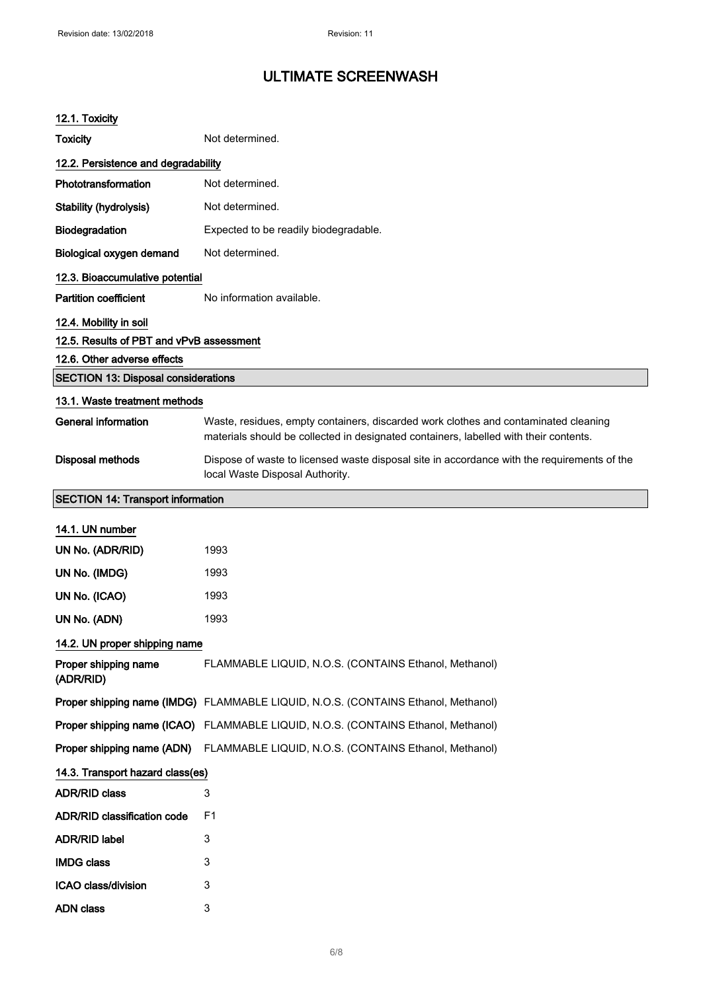#### 12.1. Toxicity

| <b>Toxicity</b>                            | Not determined.                                                                                                                                                              |
|--------------------------------------------|------------------------------------------------------------------------------------------------------------------------------------------------------------------------------|
| 12.2. Persistence and degradability        |                                                                                                                                                                              |
| Phototransformation                        | Not determined.                                                                                                                                                              |
| <b>Stability (hydrolysis)</b>              | Not determined.                                                                                                                                                              |
| Biodegradation                             | Expected to be readily biodegradable.                                                                                                                                        |
| <b>Biological oxygen demand</b>            | Not determined.                                                                                                                                                              |
| 12.3. Bioaccumulative potential            |                                                                                                                                                                              |
| <b>Partition coefficient</b>               | No information available.                                                                                                                                                    |
| 12.4. Mobility in soil                     |                                                                                                                                                                              |
| 12.5. Results of PBT and vPvB assessment   |                                                                                                                                                                              |
| 12.6. Other adverse effects                |                                                                                                                                                                              |
| <b>SECTION 13: Disposal considerations</b> |                                                                                                                                                                              |
| 13.1. Waste treatment methods              |                                                                                                                                                                              |
| <b>General information</b>                 | Waste, residues, empty containers, discarded work clothes and contaminated cleaning<br>materials should be collected in designated containers, labelled with their contents. |
| Disposal methods                           | Dispose of waste to licensed waste disposal site in accordance with the requirements of the<br>local Waste Disposal Authority.                                               |
| <b>SECTION 14: Transport information</b>   |                                                                                                                                                                              |
| 14.1. UN number                            |                                                                                                                                                                              |
| UN No. (ADR/RID)                           | 1993                                                                                                                                                                         |
| UN No. (IMDG)                              | 1993                                                                                                                                                                         |
| UN No. (ICAO)                              | 1993                                                                                                                                                                         |
| UN No. (ADN)                               | 1993                                                                                                                                                                         |
| 14.2. UN proper shipping name              |                                                                                                                                                                              |
| Proper shipping name<br>(ADR/RID)          | FLAMMABLE LIQUID, N.O.S. (CONTAINS Ethanol, Methanol)                                                                                                                        |
|                                            | Proper shipping name (IMDG) FLAMMABLE LIQUID, N.O.S. (CONTAINS Ethanol, Methanol)                                                                                            |
|                                            | Proper shipping name (ICAO) FLAMMABLE LIQUID, N.O.S. (CONTAINS Ethanol, Methanol)                                                                                            |
| Proper shipping name (ADN)                 | FLAMMABLE LIQUID, N.O.S. (CONTAINS Ethanol, Methanol)                                                                                                                        |
| 14.3. Transport hazard class(es)           |                                                                                                                                                                              |
| <b>ADR/RID class</b>                       | 3                                                                                                                                                                            |
| <b>ADR/RID classification code</b>         | F <sub>1</sub>                                                                                                                                                               |
| <b>ADR/RID label</b>                       | 3                                                                                                                                                                            |
| <b>IMDG class</b>                          | 3                                                                                                                                                                            |
| ICAO class/division                        | 3                                                                                                                                                                            |
| <b>ADN class</b>                           | 3                                                                                                                                                                            |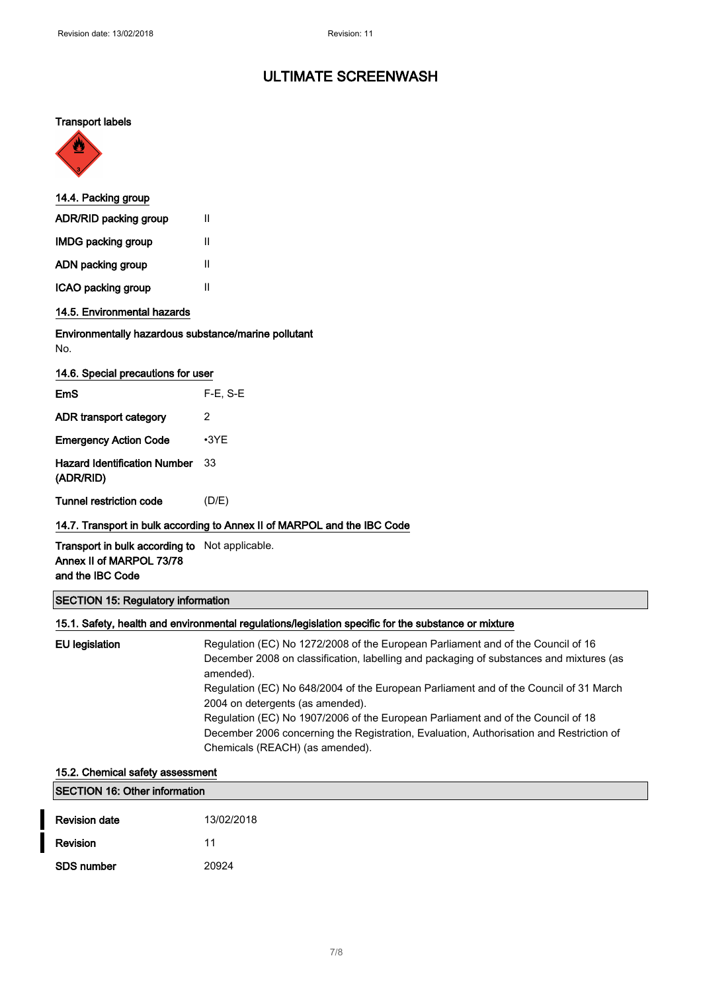#### Transport labels



| 14.4. Packing group          |   |  |
|------------------------------|---|--|
| <b>ADR/RID packing group</b> | Ш |  |
| <b>IMDG packing group</b>    | Ш |  |
| ADN packing group            | Ш |  |
| ICAO packing group           | Ш |  |
| 14.5. Environmental hazards  |   |  |

#### Environmentally hazardous substance/marine pollutant No.

| 14.6. Special precautions for user               |             |  |  |  |
|--------------------------------------------------|-------------|--|--|--|
| EmS                                              | $F-E. S-E$  |  |  |  |
| ADR transport category                           | 2           |  |  |  |
| <b>Emergency Action Code</b>                     | $\cdot$ 3YF |  |  |  |
| <b>Hazard Identification Number</b><br>(ADR/RID) | 33          |  |  |  |
| Tunnel restriction code                          | (D/E)       |  |  |  |

#### 14.7. Transport in bulk according to Annex II of MARPOL and the IBC Code

Transport in bulk according to Not applicable. Annex II of MARPOL 73/78 and the IBC Code

#### SECTION 15: Regulatory information

#### 15.1. Safety, health and environmental regulations/legislation specific for the substance or mixture

| Regulation (EC) No 648/2004 of the European Parliament and of the Council of 31 March<br>2004 on detergents (as amended).<br>Regulation (EC) No 1907/2006 of the European Parliament and of the Council of 18<br>December 2006 concerning the Registration, Evaluation, Authorisation and Restriction of<br>Chemicals (REACH) (as amended). | December 2008 on classification, labelling and packaging of substances and mixtures (as |
|---------------------------------------------------------------------------------------------------------------------------------------------------------------------------------------------------------------------------------------------------------------------------------------------------------------------------------------------|-----------------------------------------------------------------------------------------|
|---------------------------------------------------------------------------------------------------------------------------------------------------------------------------------------------------------------------------------------------------------------------------------------------------------------------------------------------|-----------------------------------------------------------------------------------------|

# 15.2. Chemical safety assessment SECTION 16: Other information **Revision date** 13/02/2018 Revision 11 SDS number 20924